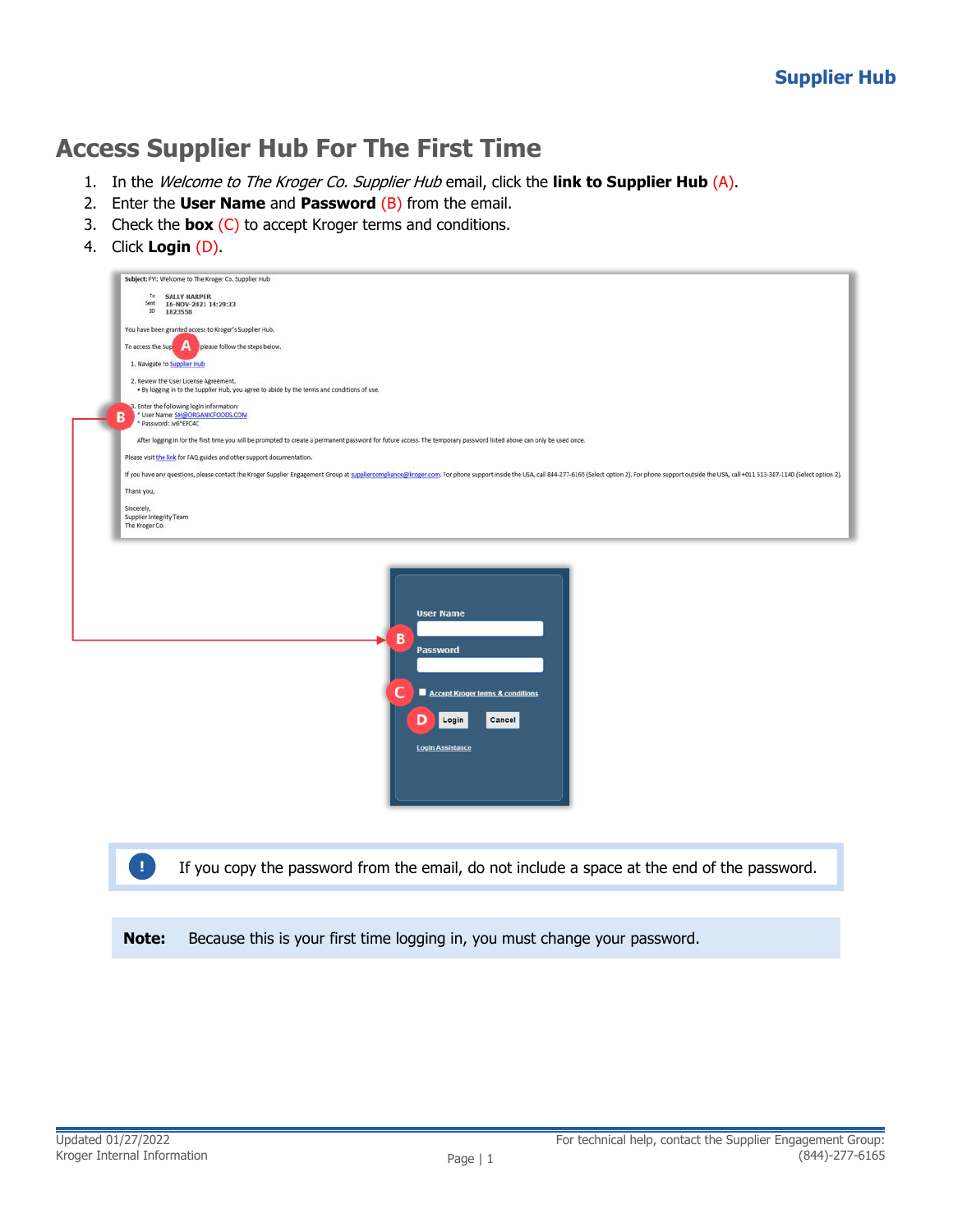## **Access Supplier Hub For The First Time**

- 1. In the Welcome to The Kroger Co. Supplier Hub email, click the **link to Supplier Hub** (A).
- 2. Enter the **User Name** and **Password** (B) from the email.
- 3. Check the **box** (C) to accept Kroger terms and conditions.
- 4. Click **Login** (D).

| Subject: FYI: Welcome to The Kroger Co. Supplier Hub                                                                                                                                                                           |
|--------------------------------------------------------------------------------------------------------------------------------------------------------------------------------------------------------------------------------|
|                                                                                                                                                                                                                                |
| <b>SALLY HARPER</b>                                                                                                                                                                                                            |
| 16-NOV-2021 14:29:33                                                                                                                                                                                                           |
| 1823558                                                                                                                                                                                                                        |
|                                                                                                                                                                                                                                |
| You have been granted access to Kroger's Supplier Hub.                                                                                                                                                                         |
|                                                                                                                                                                                                                                |
| А<br>please follow the steps below.<br>To access the Sup                                                                                                                                                                       |
|                                                                                                                                                                                                                                |
| 1. Navigate to Supplier Hub                                                                                                                                                                                                    |
| 2. Review the User License Agreement.                                                                                                                                                                                          |
| . By logging in to the Supplier Hub, you agree to abide by the terms and conditions of use.                                                                                                                                    |
|                                                                                                                                                                                                                                |
| 3. Enter the following login information:                                                                                                                                                                                      |
| * User Name: SH@ORGANICFOODS.COM                                                                                                                                                                                               |
| * Password: Jv6*EFC4C                                                                                                                                                                                                          |
|                                                                                                                                                                                                                                |
| After logging in for the first time you will be prompted to create a permanent password for future access. The temporary password listed above can only be used once.                                                          |
|                                                                                                                                                                                                                                |
| Please visit the link for FAQ guides and other support documentation.                                                                                                                                                          |
|                                                                                                                                                                                                                                |
| If you have any questions, please contact the Kroger Supplier Engagement Group at suppliercompliance@kroger.com. For phone support inside the USA, call 844-277-6165 (Select option 2). For phone support outside the USA, cal |
|                                                                                                                                                                                                                                |
|                                                                                                                                                                                                                                |
|                                                                                                                                                                                                                                |
| Supplier Integrity Team                                                                                                                                                                                                        |
|                                                                                                                                                                                                                                |
|                                                                                                                                                                                                                                |
|                                                                                                                                                                                                                                |
|                                                                                                                                                                                                                                |
|                                                                                                                                                                                                                                |
|                                                                                                                                                                                                                                |
| The Kroger Co.                                                                                                                                                                                                                 |



If you copy the password from the email, do not include a space at the end of the password.

**Note:** Because this is your first time logging in, you must change your password.

**!**